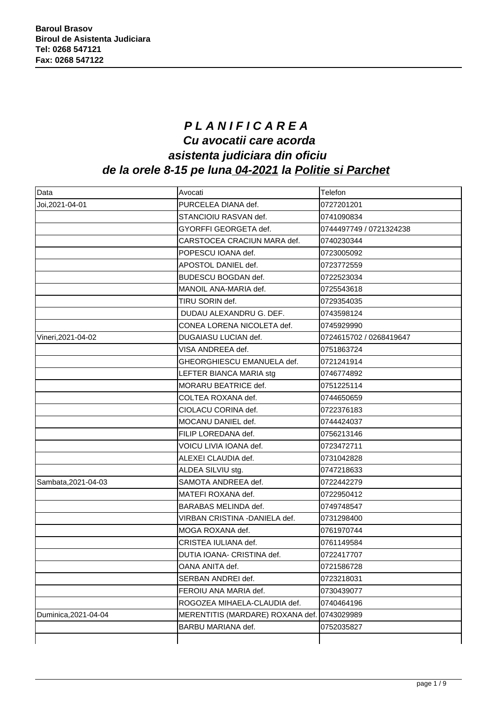## **P L A N I F I C A R E A Cu avocatii care acorda asistenta judiciara din oficiu de la orele 8-15 pe luna 04-2021 la Politie si Parchet**

| Data                 | Avocati                                     | Telefon                 |
|----------------------|---------------------------------------------|-------------------------|
| Joi, 2021-04-01      | PURCELEA DIANA def.                         | 0727201201              |
|                      | STANCIOIU RASVAN def.                       | 0741090834              |
|                      | GYORFFI GEORGETA def.                       | 0744497749 / 0721324238 |
|                      | CARSTOCEA CRACIUN MARA def.                 | 0740230344              |
|                      | POPESCU IOANA def.                          | 0723005092              |
|                      | APOSTOL DANIEL def.                         | 0723772559              |
|                      | BUDESCU BOGDAN def.                         | 0722523034              |
|                      | MANOIL ANA-MARIA def.                       | 0725543618              |
|                      | TIRU SORIN def.                             | 0729354035              |
|                      | DUDAU ALEXANDRU G. DEF.                     | 0743598124              |
|                      | CONEA LORENA NICOLETA def.                  | 0745929990              |
| Vineri, 2021-04-02   | DUGAIASU LUCIAN def.                        | 0724615702 / 0268419647 |
|                      | VISA ANDREEA def.                           | 0751863724              |
|                      | GHEORGHIESCU EMANUELA def.                  | 0721241914              |
|                      | LEFTER BIANCA MARIA stg                     | 0746774892              |
|                      | MORARU BEATRICE def.                        | 0751225114              |
|                      | COLTEA ROXANA def.                          | 0744650659              |
|                      | CIOLACU CORINA def.                         | 0722376183              |
|                      | MOCANU DANIEL def.                          | 0744424037              |
|                      | FILIP LOREDANA def.                         | 0756213146              |
|                      | VOICU LIVIA IOANA def.                      | 0723472711              |
|                      | ALEXEI CLAUDIA def.                         | 0731042828              |
|                      | ALDEA SILVIU stg.                           | 0747218633              |
| Sambata, 2021-04-03  | SAMOTA ANDREEA def.                         | 0722442279              |
|                      | MATEFI ROXANA def.                          | 0722950412              |
|                      | BARABAS MELINDA def.                        | 0749748547              |
|                      | VIRBAN CRISTINA -DANIELA def.               | 0731298400              |
|                      | MOGA ROXANA def.                            | 0761970744              |
|                      | CRISTEA IULIANA def.                        | 0761149584              |
|                      | DUTIA IOANA- CRISTINA def.                  | 0722417707              |
|                      | OANA ANITA def.                             | 0721586728              |
|                      | SERBAN ANDREI def.                          | 0723218031              |
|                      | FEROIU ANA MARIA def.                       | 0730439077              |
|                      | ROGOZEA MIHAELA-CLAUDIA def.                | 0740464196              |
| Duminica, 2021-04-04 | MERENTITIS (MARDARE) ROXANA def. 0743029989 |                         |
|                      | BARBU MARIANA def.                          | 0752035827              |
|                      |                                             |                         |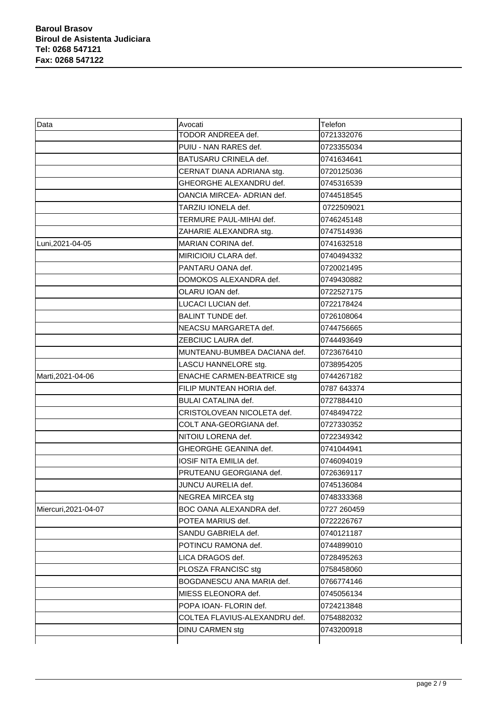| Data                 | Avocati                           | Telefon     |
|----------------------|-----------------------------------|-------------|
|                      | TODOR ANDREEA def.                | 0721332076  |
|                      | PUIU - NAN RARES def.             | 0723355034  |
|                      | BATUSARU CRINELA def.             | 0741634641  |
|                      | CERNAT DIANA ADRIANA stg.         | 0720125036  |
|                      | GHEORGHE ALEXANDRU def.           | 0745316539  |
|                      | OANCIA MIRCEA- ADRIAN def.        | 0744518545  |
|                      | TARZIU IONELA def.                | 0722509021  |
|                      | TERMURE PAUL-MIHAI def.           | 0746245148  |
|                      | ZAHARIE ALEXANDRA stg.            | 0747514936  |
| Luni, 2021-04-05     | MARIAN CORINA def.                | 0741632518  |
|                      | MIRICIOIU CLARA def.              | 0740494332  |
|                      | PANTARU OANA def.                 | 0720021495  |
|                      | DOMOKOS ALEXANDRA def.            | 0749430882  |
|                      | OLARU IOAN def.                   | 0722527175  |
|                      | LUCACI LUCIAN def.                | 0722178424  |
|                      | <b>BALINT TUNDE def.</b>          | 0726108064  |
|                      | NEACSU MARGARETA def.             | 0744756665  |
|                      | ZEBCIUC LAURA def.                | 0744493649  |
|                      | MUNTEANU-BUMBEA DACIANA def.      | 0723676410  |
|                      | LASCU HANNELORE stg.              | 0738954205  |
| Marti, 2021-04-06    | <b>ENACHE CARMEN-BEATRICE stg</b> | 0744267182  |
|                      | FILIP MUNTEAN HORIA def.          | 0787 643374 |
|                      | <b>BULAI CATALINA def.</b>        | 0727884410  |
|                      | CRISTOLOVEAN NICOLETA def.        | 0748494722  |
|                      | COLT ANA-GEORGIANA def.           | 0727330352  |
|                      | NITOIU LORENA def.                | 0722349342  |
|                      | GHEORGHE GEANINA def.             | 0741044941  |
|                      | IOSIF NITA EMILIA def.            | 0746094019  |
|                      | PRUTEANU GEORGIANA def.           | 0726369117  |
|                      | JUNCU AURELIA def.                | 0745136084  |
|                      | NEGREA MIRCEA stg                 | 0748333368  |
| Miercuri, 2021-04-07 | BOC OANA ALEXANDRA def.           | 0727 260459 |
|                      | POTEA MARIUS def.                 | 0722226767  |
|                      | SANDU GABRIELA def.               | 0740121187  |
|                      | POTINCU RAMONA def.               | 0744899010  |
|                      | LICA DRAGOS def.                  | 0728495263  |
|                      | PLOSZA FRANCISC stg               | 0758458060  |
|                      | BOGDANESCU ANA MARIA def.         | 0766774146  |
|                      | MIESS ELEONORA def.               | 0745056134  |
|                      | POPA IOAN- FLORIN def.            | 0724213848  |
|                      | COLTEA FLAVIUS-ALEXANDRU def.     | 0754882032  |
|                      | DINU CARMEN stg                   | 0743200918  |
|                      |                                   |             |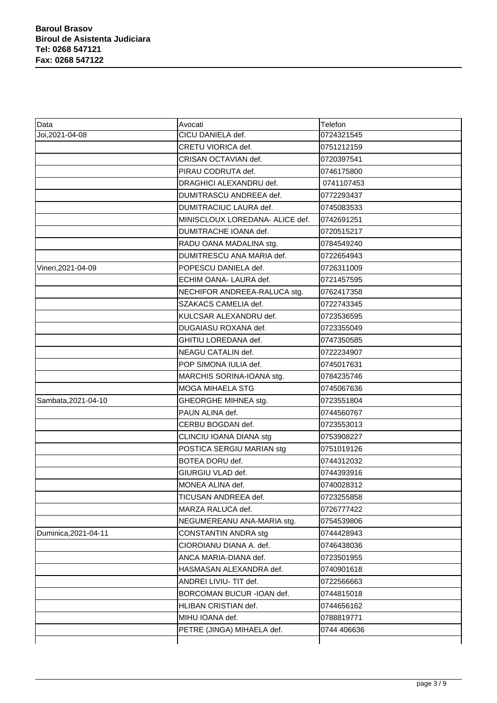| Data                 | Avocati                         | Telefon     |
|----------------------|---------------------------------|-------------|
| Joi, 2021-04-08      | CICU DANIELA def.               | 0724321545  |
|                      | CRETU VIORICA def.              | 0751212159  |
|                      | CRISAN OCTAVIAN def.            | 0720397541  |
|                      | PIRAU CODRUTA def.              | 0746175800  |
|                      | DRAGHICI ALEXANDRU def.         | 0741107453  |
|                      | DUMITRASCU ANDREEA def.         | 0772293437  |
|                      | DUMITRACIUC LAURA def.          | 0745083533  |
|                      | MINISCLOUX LOREDANA- ALICE def. | 0742691251  |
|                      | DUMITRACHE IOANA def.           | 0720515217  |
|                      | RADU OANA MADALINA stg.         | 0784549240  |
|                      | DUMITRESCU ANA MARIA def.       | 0722654943  |
| Vineri, 2021-04-09   | POPESCU DANIELA def.            | 0726311009  |
|                      | ECHIM OANA- LAURA def.          | 0721457595  |
|                      | NECHIFOR ANDREEA-RALUCA stg.    | 0762417358  |
|                      | SZAKACS CAMELIA def.            | 0722743345  |
|                      | KULCSAR ALEXANDRU def.          | 0723536595  |
|                      | DUGAIASU ROXANA def.            | 0723355049  |
|                      | GHITIU LOREDANA def.            | 0747350585  |
|                      | NEAGU CATALIN def.              | 0722234907  |
|                      | POP SIMONA IULIA def.           | 0745017631  |
|                      | MARCHIS SORINA-IOANA stg.       | 0784235746  |
|                      | <b>MOGA MIHAELA STG</b>         | 0745067636  |
| Sambata, 2021-04-10  | GHEORGHE MIHNEA stg.            | 0723551804  |
|                      | PAUN ALINA def.                 | 0744560767  |
|                      | CERBU BOGDAN def.               | 0723553013  |
|                      | CLINCIU IOANA DIANA stg         | 0753908227  |
|                      | POSTICA SERGIU MARIAN stg       | 0751019126  |
|                      | BOTEA DORU def.                 | 0744312032  |
|                      | GIURGIU VLAD def.               | 0744393916  |
|                      | MONEA ALINA def.                | 0740028312  |
|                      | TICUSAN ANDREEA def.            | 0723255858  |
|                      | MARZA RALUCA def.               | 0726777422  |
|                      | NEGUMEREANU ANA-MARIA stg.      | 0754539806  |
| Duminica, 2021-04-11 | CONSTANTIN ANDRA stg            | 0744428943  |
|                      | CIOROIANU DIANA A. def.         | 0746438036  |
|                      | ANCA MARIA-DIANA def.           | 0723501955  |
|                      | HASMASAN ALEXANDRA def.         | 0740901618  |
|                      | ANDREI LIVIU- TIT def.          | 0722566663  |
|                      | BORCOMAN BUCUR - IOAN def.      | 0744815018  |
|                      | HLIBAN CRISTIAN def.            | 0744656162  |
|                      | MIHU IOANA def.                 | 0788819771  |
|                      | PETRE (JINGA) MIHAELA def.      | 0744 406636 |
|                      |                                 |             |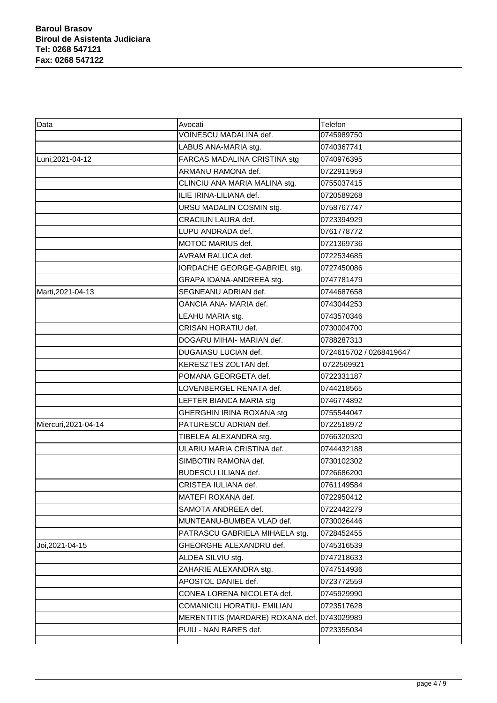| Data                 | Avocati                                     | Telefon                 |
|----------------------|---------------------------------------------|-------------------------|
|                      | VOINESCU MADALINA def.                      | 0745989750              |
|                      | LABUS ANA-MARIA stg.                        | 0740367741              |
| Luni, 2021-04-12     | FARCAS MADALINA CRISTINA stg                | 0740976395              |
|                      | ARMANU RAMONA def.                          | 0722911959              |
|                      | CLINCIU ANA MARIA MALINA stg.               | 0755037415              |
|                      | ILIE IRINA-LILIANA def.                     | 0720589268              |
|                      | URSU MADALIN COSMIN stg.                    | 0758767747              |
|                      | CRACIUN LAURA def.                          | 0723394929              |
|                      | LUPU ANDRADA def.                           | 0761778772              |
|                      | MOTOC MARIUS def.                           | 0721369736              |
|                      | AVRAM RALUCA def.                           | 0722534685              |
|                      | IORDACHE GEORGE-GABRIEL stg.                | 0727450086              |
|                      | GRAPA IOANA-ANDREEA stg.                    | 0747781479              |
| Marti, 2021-04-13    | SEGNEANU ADRIAN def.                        | 0744687658              |
|                      | OANCIA ANA- MARIA def.                      | 0743044253              |
|                      | LEAHU MARIA stg.                            | 0743570346              |
|                      | CRISAN HORATIU def.                         | 0730004700              |
|                      | DOGARU MIHAI- MARIAN def.                   | 0788287313              |
|                      | <b>DUGAIASU LUCIAN def.</b>                 | 0724615702 / 0268419647 |
|                      | KERESZTES ZOLTAN def.                       | 0722569921              |
|                      | POMANA GEORGETA def.                        | 0722331187              |
|                      | LOVENBERGEL RENATA def.                     | 0744218565              |
|                      | LEFTER BIANCA MARIA stg                     | 0746774892              |
|                      | GHERGHIN IRINA ROXANA stg                   | 0755544047              |
| Miercuri, 2021-04-14 | PATURESCU ADRIAN def.                       | 0722518972              |
|                      | TIBELEA ALEXANDRA stg.                      | 0766320320              |
|                      | ULARIU MARIA CRISTINA def.                  | 0744432188              |
|                      | SIMBOTIN RAMONA def.                        | 0730102302              |
|                      | <b>BUDESCU LILIANA def.</b>                 | 0726686200              |
|                      | CRISTEA IULIANA def.                        | 0761149584              |
|                      | MATEFI ROXANA def.                          | 0722950412              |
|                      | SAMOTA ANDREEA def.                         | 0722442279              |
|                      | MUNTEANU-BUMBEA VLAD def.                   | 0730026446              |
|                      | PATRASCU GABRIELA MIHAELA stg.              | 0728452455              |
| Joi, 2021-04-15      | GHEORGHE ALEXANDRU def.                     | 0745316539              |
|                      | ALDEA SILVIU stg.                           | 0747218633              |
|                      | ZAHARIE ALEXANDRA stg.                      | 0747514936              |
|                      | APOSTOL DANIEL def.                         | 0723772559              |
|                      | CONEA LORENA NICOLETA def.                  | 0745929990              |
|                      | <b>COMANICIU HORATIU- EMILIAN</b>           | 0723517628              |
|                      | MERENTITIS (MARDARE) ROXANA def. 0743029989 |                         |
|                      | PUIU - NAN RARES def.                       | 0723355034              |
|                      |                                             |                         |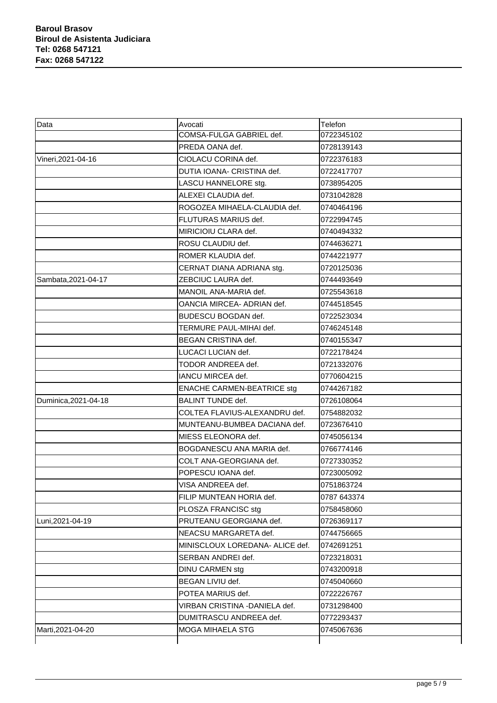| Data                 | Avocati                           | Telefon     |
|----------------------|-----------------------------------|-------------|
|                      | COMSA-FULGA GABRIEL def.          | 0722345102  |
|                      | PREDA OANA def.                   | 0728139143  |
| Vineri, 2021-04-16   | CIOLACU CORINA def.               | 0722376183  |
|                      | DUTIA IOANA- CRISTINA def.        | 0722417707  |
|                      | LASCU HANNELORE stg.              | 0738954205  |
|                      | ALEXEI CLAUDIA def.               | 0731042828  |
|                      | ROGOZEA MIHAELA-CLAUDIA def.      | 0740464196  |
|                      | FLUTURAS MARIUS def.              | 0722994745  |
|                      | MIRICIOIU CLARA def.              | 0740494332  |
|                      | ROSU CLAUDIU def.                 | 0744636271  |
|                      | ROMER KLAUDIA def.                | 0744221977  |
|                      | CERNAT DIANA ADRIANA stg.         | 0720125036  |
| Sambata, 2021-04-17  | ZEBCIUC LAURA def.                | 0744493649  |
|                      | MANOIL ANA-MARIA def.             | 0725543618  |
|                      | OANCIA MIRCEA- ADRIAN def.        | 0744518545  |
|                      | BUDESCU BOGDAN def.               | 0722523034  |
|                      | TERMURE PAUL-MIHAI def.           | 0746245148  |
|                      | BEGAN CRISTINA def.               | 0740155347  |
|                      | LUCACI LUCIAN def.                | 0722178424  |
|                      | TODOR ANDREEA def.                | 0721332076  |
|                      | IANCU MIRCEA def.                 | 0770604215  |
|                      | <b>ENACHE CARMEN-BEATRICE stg</b> | 0744267182  |
| Duminica, 2021-04-18 | <b>BALINT TUNDE def.</b>          | 0726108064  |
|                      | COLTEA FLAVIUS-ALEXANDRU def.     | 0754882032  |
|                      | MUNTEANU-BUMBEA DACIANA def.      | 0723676410  |
|                      | MIESS ELEONORA def.               | 0745056134  |
|                      | BOGDANESCU ANA MARIA def.         | 0766774146  |
|                      | COLT ANA-GEORGIANA def.           | 0727330352  |
|                      | POPESCU IOANA def.                | 0723005092  |
|                      | VISA ANDREEA def.                 | 0751863724  |
|                      | FILIP MUNTEAN HORIA def.          | 0787 643374 |
|                      | PLOSZA FRANCISC stg               | 0758458060  |
| Luni, 2021-04-19     | PRUTEANU GEORGIANA def.           | 0726369117  |
|                      | NEACSU MARGARETA def.             | 0744756665  |
|                      | MINISCLOUX LOREDANA- ALICE def.   | 0742691251  |
|                      | SERBAN ANDREI def.                | 0723218031  |
|                      | DINU CARMEN stg                   | 0743200918  |
|                      | BEGAN LIVIU def.                  | 0745040660  |
|                      | POTEA MARIUS def.                 | 0722226767  |
|                      | VIRBAN CRISTINA - DANIELA def.    | 0731298400  |
|                      | DUMITRASCU ANDREEA def.           | 0772293437  |
| Marti, 2021-04-20    | <b>MOGA MIHAELA STG</b>           | 0745067636  |
|                      |                                   |             |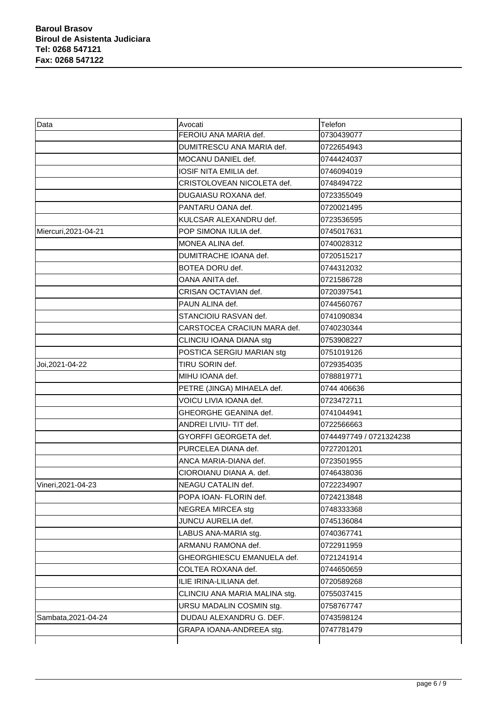| Data                 | Avocati                       | Telefon                 |
|----------------------|-------------------------------|-------------------------|
|                      | FEROIU ANA MARIA def.         | 0730439077              |
|                      | DUMITRESCU ANA MARIA def.     | 0722654943              |
|                      | MOCANU DANIEL def.            | 0744424037              |
|                      | IOSIF NITA EMILIA def.        | 0746094019              |
|                      | CRISTOLOVEAN NICOLETA def.    | 0748494722              |
|                      | DUGAIASU ROXANA def.          | 0723355049              |
|                      | PANTARU OANA def.             | 0720021495              |
|                      | KULCSAR ALEXANDRU def.        | 0723536595              |
| Miercuri, 2021-04-21 | POP SIMONA IULIA def.         | 0745017631              |
|                      | MONEA ALINA def.              | 0740028312              |
|                      | DUMITRACHE IOANA def.         | 0720515217              |
|                      | BOTEA DORU def.               | 0744312032              |
|                      | OANA ANITA def.               | 0721586728              |
|                      | CRISAN OCTAVIAN def.          | 0720397541              |
|                      | PAUN ALINA def.               | 0744560767              |
|                      | STANCIOIU RASVAN def.         | 0741090834              |
|                      | CARSTOCEA CRACIUN MARA def.   | 0740230344              |
|                      | CLINCIU IOANA DIANA stg       | 0753908227              |
|                      | POSTICA SERGIU MARIAN stg     | 0751019126              |
| Joi, 2021-04-22      | TIRU SORIN def.               | 0729354035              |
|                      | MIHU IOANA def.               | 0788819771              |
|                      | PETRE (JINGA) MIHAELA def.    | 0744 406636             |
|                      | VOICU LIVIA IOANA def.        | 0723472711              |
|                      | GHEORGHE GEANINA def.         | 0741044941              |
|                      | ANDREI LIVIU- TIT def.        | 0722566663              |
|                      | GYORFFI GEORGETA def.         | 0744497749 / 0721324238 |
|                      | PURCELEA DIANA def.           | 0727201201              |
|                      | ANCA MARIA-DIANA def.         | 0723501955              |
|                      | CIOROIANU DIANA A. def.       | 0746438036              |
| Vineri, 2021-04-23   | NEAGU CATALIN def.            | 0722234907              |
|                      | POPA IOAN- FLORIN def.        | 0724213848              |
|                      | <b>NEGREA MIRCEA stg</b>      | 0748333368              |
|                      | JUNCU AURELIA def.            | 0745136084              |
|                      | LABUS ANA-MARIA stg.          | 0740367741              |
|                      | ARMANU RAMONA def.            | 0722911959              |
|                      | GHEORGHIESCU EMANUELA def.    | 0721241914              |
|                      | COLTEA ROXANA def.            | 0744650659              |
|                      | ILIE IRINA-LILIANA def.       | 0720589268              |
|                      | CLINCIU ANA MARIA MALINA stg. | 0755037415              |
|                      | URSU MADALIN COSMIN stg.      | 0758767747              |
| Sambata, 2021-04-24  | DUDAU ALEXANDRU G. DEF.       | 0743598124              |
|                      | GRAPA IOANA-ANDREEA stg.      | 0747781479              |
|                      |                               |                         |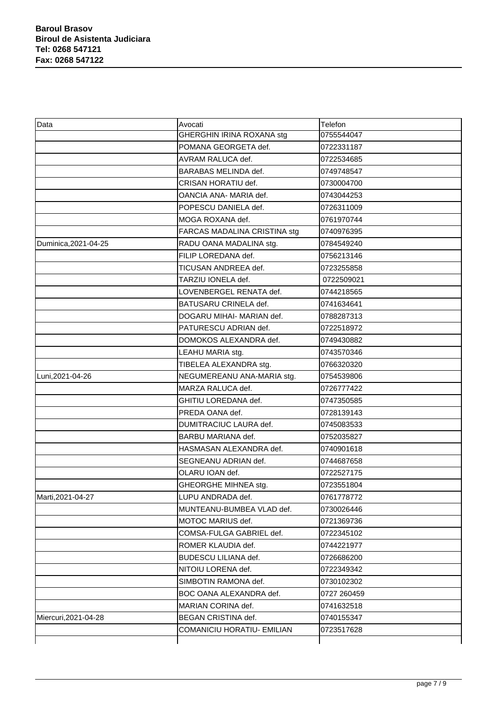| Data                 | Avocati                      | Telefon     |
|----------------------|------------------------------|-------------|
|                      | GHERGHIN IRINA ROXANA stg    | 0755544047  |
|                      | POMANA GEORGETA def.         | 0722331187  |
|                      | <b>AVRAM RALUCA def.</b>     | 0722534685  |
|                      | <b>BARABAS MELINDA def.</b>  | 0749748547  |
|                      | CRISAN HORATIU def.          | 0730004700  |
|                      | OANCIA ANA- MARIA def.       | 0743044253  |
|                      | POPESCU DANIELA def.         | 0726311009  |
|                      | MOGA ROXANA def.             | 0761970744  |
|                      | FARCAS MADALINA CRISTINA stg | 0740976395  |
| Duminica, 2021-04-25 | RADU OANA MADALINA stg.      | 0784549240  |
|                      | FILIP LOREDANA def.          | 0756213146  |
|                      | TICUSAN ANDREEA def.         | 0723255858  |
|                      | TARZIU IONELA def.           | 0722509021  |
|                      | LOVENBERGEL RENATA def.      | 0744218565  |
|                      | BATUSARU CRINELA def.        | 0741634641  |
|                      | DOGARU MIHAI- MARIAN def.    | 0788287313  |
|                      | PATURESCU ADRIAN def.        | 0722518972  |
|                      | DOMOKOS ALEXANDRA def.       | 0749430882  |
|                      | LEAHU MARIA stg.             | 0743570346  |
|                      | TIBELEA ALEXANDRA stg.       | 0766320320  |
| Luni, 2021-04-26     | NEGUMEREANU ANA-MARIA stg.   | 0754539806  |
|                      | MARZA RALUCA def.            | 0726777422  |
|                      | GHITIU LOREDANA def.         | 0747350585  |
|                      | PREDA OANA def.              | 0728139143  |
|                      | DUMITRACIUC LAURA def.       | 0745083533  |
|                      | BARBU MARIANA def.           | 0752035827  |
|                      | HASMASAN ALEXANDRA def.      | 0740901618  |
|                      | SEGNEANU ADRIAN def.         | 0744687658  |
|                      | OLARU IOAN def.              | 0722527175  |
|                      | GHEORGHE MIHNEA stg.         | 0723551804  |
| Marti, 2021-04-27    | LUPU ANDRADA def.            | 0761778772  |
|                      | MUNTEANU-BUMBEA VLAD def.    | 0730026446  |
|                      | MOTOC MARIUS def.            | 0721369736  |
|                      | COMSA-FULGA GABRIEL def.     | 0722345102  |
|                      | ROMER KLAUDIA def.           | 0744221977  |
|                      | <b>BUDESCU LILIANA def.</b>  | 0726686200  |
|                      | NITOIU LORENA def.           | 0722349342  |
|                      | SIMBOTIN RAMONA def.         | 0730102302  |
|                      | BOC OANA ALEXANDRA def.      | 0727 260459 |
|                      | MARIAN CORINA def.           | 0741632518  |
| Miercuri, 2021-04-28 | BEGAN CRISTINA def.          | 0740155347  |
|                      | COMANICIU HORATIU- EMILIAN   | 0723517628  |
|                      |                              |             |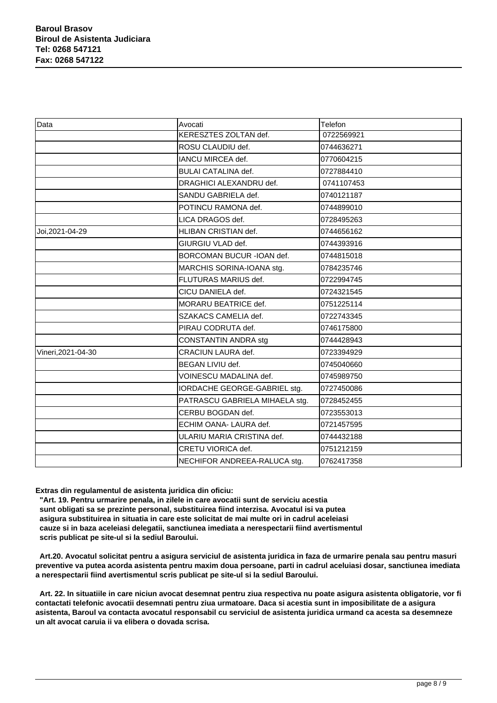| Data               | Avocati                        | Telefon    |
|--------------------|--------------------------------|------------|
|                    | KERESZTES ZOLTAN def.          | 0722569921 |
|                    | ROSU CLAUDIU def.              | 0744636271 |
|                    | IANCU MIRCEA def.              | 0770604215 |
|                    | <b>BULAI CATALINA def.</b>     | 0727884410 |
|                    | DRAGHICI ALEXANDRU def.        | 0741107453 |
|                    | SANDU GABRIELA def.            | 0740121187 |
|                    | POTINCU RAMONA def.            | 0744899010 |
|                    | LICA DRAGOS def.               | 0728495263 |
| Joi, 2021-04-29    | HLIBAN CRISTIAN def.           | 0744656162 |
|                    | GIURGIU VLAD def.              | 0744393916 |
|                    | BORCOMAN BUCUR - IOAN def.     | 0744815018 |
|                    | MARCHIS SORINA-IOANA stg.      | 0784235746 |
|                    | FLUTURAS MARIUS def.           | 0722994745 |
|                    | CICU DANIELA def.              | 0724321545 |
|                    | MORARU BEATRICE def.           | 0751225114 |
|                    | SZAKACS CAMELIA def.           | 0722743345 |
|                    | PIRAU CODRUTA def.             | 0746175800 |
|                    | <b>CONSTANTIN ANDRA stg</b>    | 0744428943 |
| Vineri, 2021-04-30 | CRACIUN LAURA def.             | 0723394929 |
|                    | <b>BEGAN LIVIU def.</b>        | 0745040660 |
|                    | VOINESCU MADALINA def.         | 0745989750 |
|                    | IORDACHE GEORGE-GABRIEL stg.   | 0727450086 |
|                    | PATRASCU GABRIELA MIHAELA stg. | 0728452455 |
|                    | CERBU BOGDAN def.              | 0723553013 |
|                    | ECHIM OANA- LAURA def.         | 0721457595 |
|                    | ULARIU MARIA CRISTINA def.     | 0744432188 |
|                    | CRETU VIORICA def.             | 0751212159 |
|                    | NECHIFOR ANDREEA-RALUCA stg.   | 0762417358 |

**Extras din regulamentul de asistenta juridica din oficiu:**

 **"Art. 19. Pentru urmarire penala, in zilele in care avocatii sunt de serviciu acestia sunt obligati sa se prezinte personal, substituirea fiind interzisa. Avocatul isi va putea asigura substituirea in situatia in care este solicitat de mai multe ori in cadrul aceleiasi cauze si in baza aceleiasi delegatii, sanctiunea imediata a nerespectarii fiind avertismentul scris publicat pe site-ul si la sediul Baroului.**

 **Art.20. Avocatul solicitat pentru a asigura serviciul de asistenta juridica in faza de urmarire penala sau pentru masuri preventive va putea acorda asistenta pentru maxim doua persoane, parti in cadrul aceluiasi dosar, sanctiunea imediata a nerespectarii fiind avertismentul scris publicat pe site-ul si la sediul Baroului.**

 **Art. 22. In situatiile in care niciun avocat desemnat pentru ziua respectiva nu poate asigura asistenta obligatorie, vor fi contactati telefonic avocatii desemnati pentru ziua urmatoare. Daca si acestia sunt in imposibilitate de a asigura asistenta, Baroul va contacta avocatul responsabil cu serviciul de asistenta juridica urmand ca acesta sa desemneze un alt avocat caruia ii va elibera o dovada scrisa.**